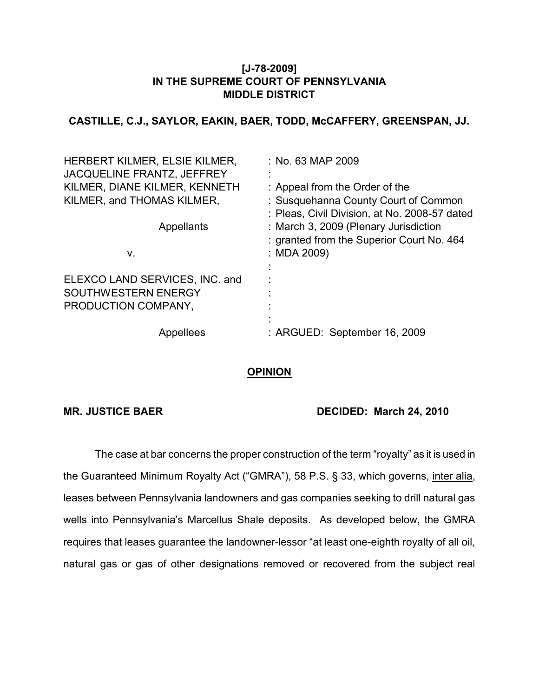#### **[J-78-2009] IN THE SUPREME COURT OF PENNSYLVANIA MIDDLE DISTRICT**

## **CASTILLE, C.J., SAYLOR, EAKIN, BAER, TODD, McCAFFERY, GREENSPAN, JJ.**

| HERBERT KILMER, ELSIE KILMER,<br><b>JACQUELINE FRANTZ, JEFFREY</b> | $:$ No. 63 MAP 2009                                                                   |
|--------------------------------------------------------------------|---------------------------------------------------------------------------------------|
| KILMER, DIANE KILMER, KENNETH                                      | : Appeal from the Order of the                                                        |
| KILMER, and THOMAS KILMER,                                         | : Susquehanna County Court of Common<br>: Pleas, Civil Division, at No. 2008-57 dated |
| Appellants                                                         | : March 3, 2009 (Plenary Jurisdiction                                                 |
|                                                                    | : granted from the Superior Court No. 464                                             |
| ۷.                                                                 | : MDA 2009)                                                                           |
| ELEXCO LAND SERVICES, INC. and                                     |                                                                                       |
| SOUTHWESTERN ENERGY                                                |                                                                                       |
| PRODUCTION COMPANY,                                                |                                                                                       |
| Appellees                                                          | : ARGUED: September 16, 2009                                                          |

### **OPINION**

# **MR. JUSTICE BAER DECIDED: March 24, 2010**

The case at bar concerns the proper construction of the term "royalty" as it is used in the Guaranteed Minimum Royalty Act ("GMRA"), 58 P.S. § 33, which governs, inter alia, leases between Pennsylvania landowners and gas companies seeking to drill natural gas wells into Pennsylvania's Marcellus Shale deposits. As developed below, the GMRA requires that leases guarantee the landowner-lessor "at least one-eighth royalty of all oil, natural gas or gas of other designations removed or recovered from the subject real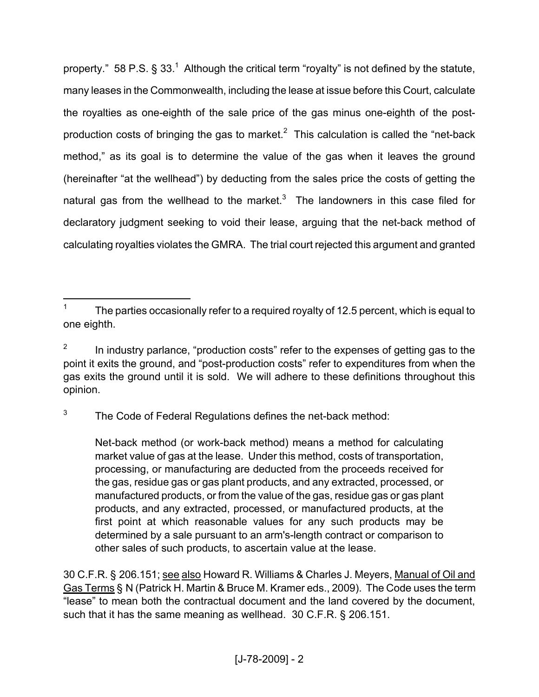property." 58 P.S.  $\S 33$ .<sup>1</sup> Although the critical term "rovalty" is not defined by the statute, many leases in the Commonwealth, including the lease at issue before this Court, calculate the royalties as one-eighth of the sale price of the gas minus one-eighth of the postproduction costs of bringing the gas to market.<sup>2</sup> This calculation is called the "net-back method," as its goal is to determine the value of the gas when it leaves the ground (hereinafter "at the wellhead") by deducting from the sales price the costs of getting the natural gas from the wellhead to the market. $3$  The landowners in this case filed for declaratory judgment seeking to void their lease, arguing that the net-back method of calculating royalties violates the GMRA. The trial court rejected this argument and granted

3 The Code of Federal Regulations defines the net-back method:

Net-back method (or work-back method) means a method for calculating market value of gas at the lease. Under this method, costs of transportation, processing, or manufacturing are deducted from the proceeds received for the gas, residue gas or gas plant products, and any extracted, processed, or manufactured products, or from the value of the gas, residue gas or gas plant products, and any extracted, processed, or manufactured products, at the first point at which reasonable values for any such products may be determined by a sale pursuant to an arm's-length contract or comparison to other sales of such products, to ascertain value at the lease.

30 C.F.R. § 206.151; see also Howard R. Williams & Charles J. Meyers, Manual of Oil and Gas Terms § N (Patrick H. Martin & Bruce M. Kramer eds., 2009). The Code uses the term "lease" to mean both the contractual document and the land covered by the document, such that it has the same meaning as wellhead. 30 C.F.R. § 206.151.

<sup>1</sup> The parties occasionally refer to a required royalty of 12.5 percent, which is equal to one eighth.

<sup>2</sup> In industry parlance, "production costs" refer to the expenses of getting gas to the point it exits the ground, and "post-production costs" refer to expenditures from when the gas exits the ground until it is sold. We will adhere to these definitions throughout this opinion.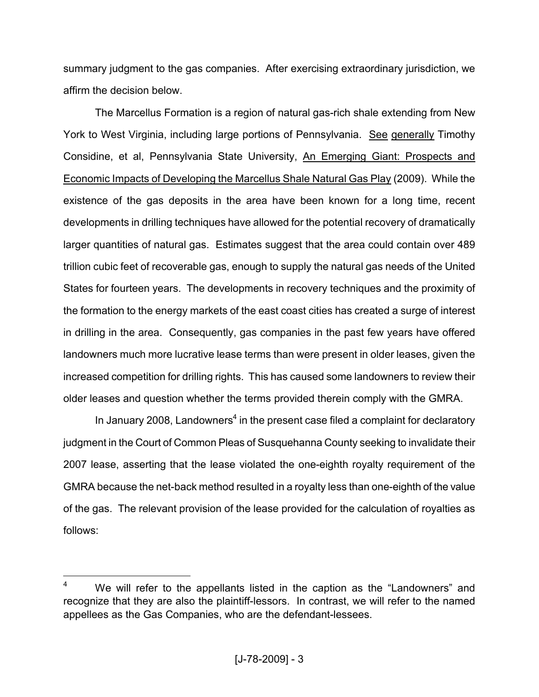summary judgment to the gas companies. After exercising extraordinary jurisdiction, we affirm the decision below.

The Marcellus Formation is a region of natural gas-rich shale extending from New York to West Virginia, including large portions of Pennsylvania. See generally Timothy Considine, et al, Pennsylvania State University, An Emerging Giant: Prospects and Economic Impacts of Developing the Marcellus Shale Natural Gas Play (2009). While the existence of the gas deposits in the area have been known for a long time, recent developments in drilling techniques have allowed for the potential recovery of dramatically larger quantities of natural gas. Estimates suggest that the area could contain over 489 trillion cubic feet of recoverable gas, enough to supply the natural gas needs of the United States for fourteen years. The developments in recovery techniques and the proximity of the formation to the energy markets of the east coast cities has created a surge of interest in drilling in the area. Consequently, gas companies in the past few years have offered landowners much more lucrative lease terms than were present in older leases, given the increased competition for drilling rights. This has caused some landowners to review their older leases and question whether the terms provided therein comply with the GMRA.

In January 2008, Landowners<sup>4</sup> in the present case filed a complaint for declaratory judgment in the Court of Common Pleas of Susquehanna County seeking to invalidate their 2007 lease, asserting that the lease violated the one-eighth royalty requirement of the GMRA because the net-back method resulted in a royalty less than one-eighth of the value of the gas. The relevant provision of the lease provided for the calculation of royalties as follows:

 $4$  We will refer to the appellants listed in the caption as the "Landowners" and recognize that they are also the plaintiff-lessors. In contrast, we will refer to the named appellees as the Gas Companies, who are the defendant-lessees.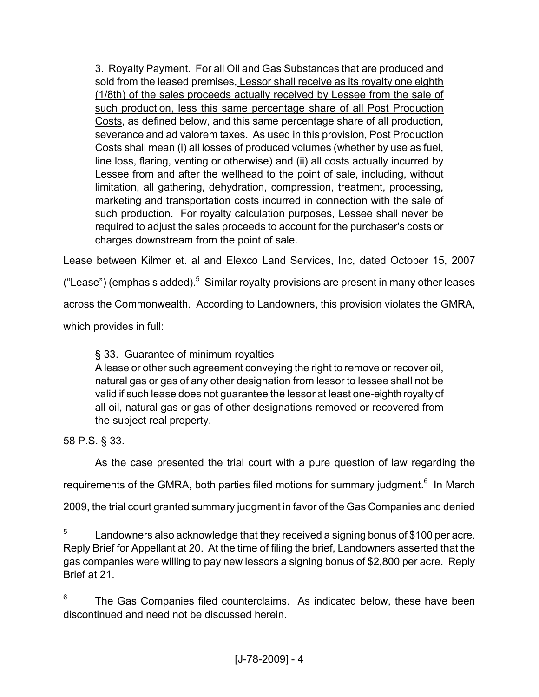3. Royalty Payment. For all Oil and Gas Substances that are produced and sold from the leased premises, Lessor shall receive as its royalty one eighth (1/8th) of the sales proceeds actually received by Lessee from the sale of such production, less this same percentage share of all Post Production Costs, as defined below, and this same percentage share of all production, severance and ad valorem taxes. As used in this provision, Post Production Costs shall mean (i) all losses of produced volumes (whether by use as fuel, line loss, flaring, venting or otherwise) and (ii) all costs actually incurred by Lessee from and after the wellhead to the point of sale, including, without limitation, all gathering, dehydration, compression, treatment, processing, marketing and transportation costs incurred in connection with the sale of such production. For royalty calculation purposes, Lessee shall never be required to adjust the sales proceeds to account for the purchaser's costs or charges downstream from the point of sale.

Lease between Kilmer et. al and Elexco Land Services, Inc, dated October 15, 2007

("Lease") (emphasis added).<sup>5</sup> Similar royalty provisions are present in many other leases

across the Commonwealth. According to Landowners, this provision violates the GMRA,

which provides in full:

§ 33. Guarantee of minimum royalties

A lease or other such agreement conveying the right to remove or recover oil, natural gas or gas of any other designation from lessor to lessee shall not be valid if such lease does not guarantee the lessor at least one-eighth royalty of all oil, natural gas or gas of other designations removed or recovered from the subject real property.

58 P.S. § 33.

As the case presented the trial court with a pure question of law regarding the

requirements of the GMRA, both parties filed motions for summary judgment.<sup>6</sup> In March

2009, the trial court granted summary judgment in favor of the Gas Companies and denied

6 The Gas Companies filed counterclaims. As indicated below, these have been discontinued and need not be discussed herein.

<sup>5</sup> Landowners also acknowledge that they received a signing bonus of \$100 per acre. Reply Brief for Appellant at 20. At the time of filing the brief, Landowners asserted that the gas companies were willing to pay new lessors a signing bonus of \$2,800 per acre. Reply Brief at 21.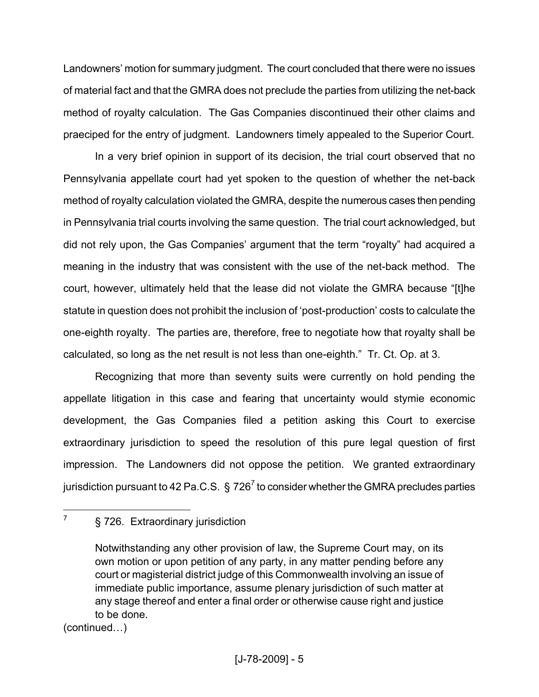Landowners' motion for summary judgment. The court concluded that there were no issues of material fact and that the GMRA does not preclude the parties from utilizing the net-back method of royalty calculation. The Gas Companies discontinued their other claims and praeciped for the entry of judgment. Landowners timely appealed to the Superior Court.

In a very brief opinion in support of its decision, the trial court observed that no Pennsylvania appellate court had yet spoken to the question of whether the net-back method of royalty calculation violated the GMRA, despite the numerous cases then pending in Pennsylvania trial courts involving the same question. The trial court acknowledged, but did not rely upon, the Gas Companies' argument that the term "royalty" had acquired a meaning in the industry that was consistent with the use of the net-back method. The court, however, ultimately held that the lease did not violate the GMRA because "[t]he statute in question does not prohibit the inclusion of 'post-production' costs to calculate the one-eighth royalty. The parties are, therefore, free to negotiate how that royalty shall be calculated, so long as the net result is not less than one-eighth." Tr. Ct. Op. at 3.

Recognizing that more than seventy suits were currently on hold pending the appellate litigation in this case and fearing that uncertainty would stymie economic development, the Gas Companies filed a petition asking this Court to exercise extraordinary jurisdiction to speed the resolution of this pure legal question of first impression. The Landowners did not oppose the petition. We granted extraordinary jurisdiction pursuant to 42 Pa.C.S.  $\,$   $\,$   $\,726^{7}$  to consider whether the GMRA precludes parties

(continued…)

<sup>7</sup> § 726. Extraordinary jurisdiction

Notwithstanding any other provision of law, the Supreme Court may, on its own motion or upon petition of any party, in any matter pending before any court or magisterial district judge of this Commonwealth involving an issue of immediate public importance, assume plenary jurisdiction of such matter at any stage thereof and enter a final order or otherwise cause right and justice to be done.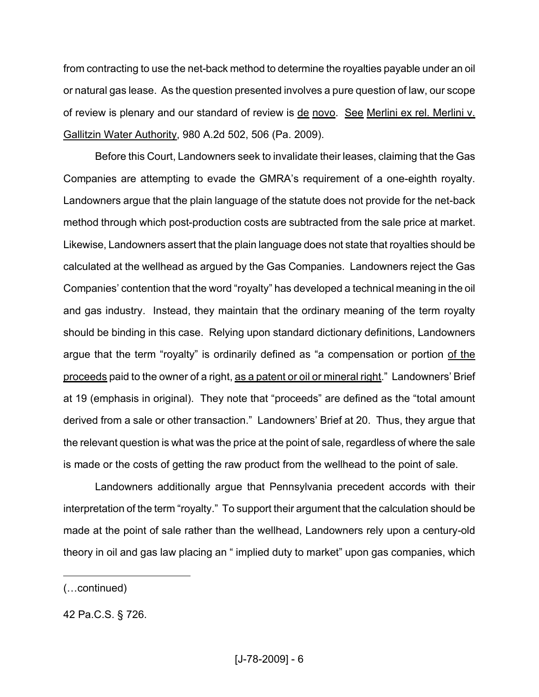from contracting to use the net-back method to determine the royalties payable under an oil or natural gas lease. As the question presented involves a pure question of law, our scope of review is plenary and our standard of review is de novo. See Merlini ex rel. Merlini v. Gallitzin Water Authority, 980 A.2d 502, 506 (Pa. 2009).

Before this Court, Landowners seek to invalidate their leases, claiming that the Gas Companies are attempting to evade the GMRA's requirement of a one-eighth royalty. Landowners argue that the plain language of the statute does not provide for the net-back method through which post-production costs are subtracted from the sale price at market. Likewise, Landowners assert that the plain language does not state that royalties should be calculated at the wellhead as argued by the Gas Companies. Landowners reject the Gas Companies' contention that the word "royalty" has developed a technical meaning in the oil and gas industry. Instead, they maintain that the ordinary meaning of the term royalty should be binding in this case. Relying upon standard dictionary definitions, Landowners argue that the term "royalty" is ordinarily defined as "a compensation or portion of the proceeds paid to the owner of a right, as a patent or oil or mineral right." Landowners' Brief at 19 (emphasis in original). They note that "proceeds" are defined as the "total amount derived from a sale or other transaction." Landowners' Brief at 20. Thus, they argue that the relevant question is what was the price at the point of sale, regardless of where the sale is made or the costs of getting the raw product from the wellhead to the point of sale.

Landowners additionally argue that Pennsylvania precedent accords with their interpretation of the term "royalty." To support their argument that the calculation should be made at the point of sale rather than the wellhead, Landowners rely upon a century-old theory in oil and gas law placing an " implied duty to market" upon gas companies, which

<sup>(…</sup>continued)

<sup>42</sup> Pa.C.S. § 726.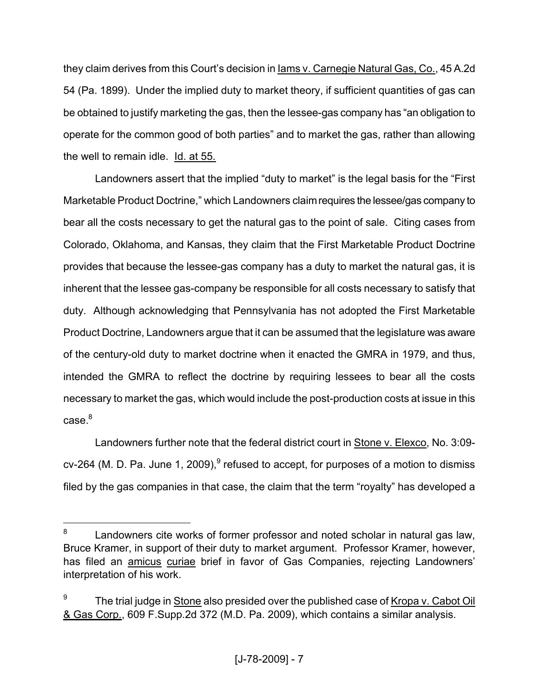they claim derives from this Court's decision in Iams v. Carnegie Natural Gas, Co., 45 A.2d 54 (Pa. 1899). Under the implied duty to market theory, if sufficient quantities of gas can be obtained to justify marketing the gas, then the lessee-gas company has "an obligation to operate for the common good of both parties" and to market the gas, rather than allowing the well to remain idle. Id. at 55.

Landowners assert that the implied "duty to market" is the legal basis for the "First Marketable Product Doctrine," which Landowners claimrequires the lessee/gas company to bear all the costs necessary to get the natural gas to the point of sale. Citing cases from Colorado, Oklahoma, and Kansas, they claim that the First Marketable Product Doctrine provides that because the lessee-gas company has a duty to market the natural gas, it is inherent that the lessee gas-company be responsible for all costs necessary to satisfy that duty. Although acknowledging that Pennsylvania has not adopted the First Marketable Product Doctrine, Landowners argue that it can be assumed that the legislature was aware of the century-old duty to market doctrine when it enacted the GMRA in 1979, and thus, intended the GMRA to reflect the doctrine by requiring lessees to bear all the costs necessary to market the gas, which would include the post-production costs at issue in this  $case<sup>8</sup>$ 

Landowners further note that the federal district court in Stone v. Elexco, No. 3:09 cv-264 (M. D. Pa. June 1, 2009), $^9$  refused to accept, for purposes of a motion to dismiss filed by the gas companies in that case, the claim that the term "royalty" has developed a

<sup>8</sup> Landowners cite works of former professor and noted scholar in natural gas law, Bruce Kramer, in support of their duty to market argument. Professor Kramer, however, has filed an **amicus curiae** brief in favor of Gas Companies, rejecting Landowners' interpretation of his work.

<sup>9</sup> The trial judge in Stone also presided over the published case of Kropa v. Cabot Oil & Gas Corp., 609 F.Supp.2d 372 (M.D. Pa. 2009), which contains a similar analysis.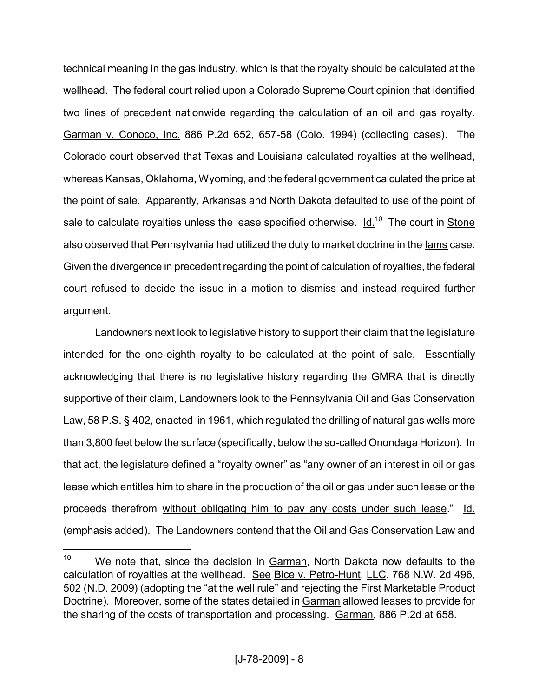technical meaning in the gas industry, which is that the royalty should be calculated at the wellhead. The federal court relied upon a Colorado Supreme Court opinion that identified two lines of precedent nationwide regarding the calculation of an oil and gas royalty. Garman v. Conoco, Inc. 886 P.2d 652, 657-58 (Colo. 1994) (collecting cases). The Colorado court observed that Texas and Louisiana calculated royalties at the wellhead, whereas Kansas, Oklahoma, Wyoming, and the federal government calculated the price at the point of sale. Apparently, Arkansas and North Dakota defaulted to use of the point of sale to calculate royalties unless the lease specified otherwise.  $Id.<sup>10</sup>$  The court in Stone also observed that Pennsylvania had utilized the duty to market doctrine in the lams case. Given the divergence in precedent regarding the point of calculation of royalties, the federal court refused to decide the issue in a motion to dismiss and instead required further argument.

Landowners next look to legislative history to support their claim that the legislature intended for the one-eighth royalty to be calculated at the point of sale. Essentially acknowledging that there is no legislative history regarding the GMRA that is directly supportive of their claim, Landowners look to the Pennsylvania Oil and Gas Conservation Law, 58 P.S. § 402, enacted in 1961, which regulated the drilling of natural gas wells more than 3,800 feet below the surface (specifically, below the so-called Onondaga Horizon). In that act, the legislature defined a "royalty owner" as "any owner of an interest in oil or gas lease which entitles him to share in the production of the oil or gas under such lease or the proceeds therefrom without obligating him to pay any costs under such lease." Id. (emphasis added). The Landowners contend that the Oil and Gas Conservation Law and

<sup>&</sup>lt;sup>10</sup> We note that, since the decision in  $Garman$ , North Dakota now defaults to the calculation of royalties at the wellhead. See Bice v. Petro-Hunt, LLC, 768 N.W. 2d 496, 502 (N.D. 2009) (adopting the "at the well rule" and rejecting the First Marketable Product Doctrine). Moreover, some of the states detailed in Garman allowed leases to provide for the sharing of the costs of transportation and processing. Garman, 886 P.2d at 658.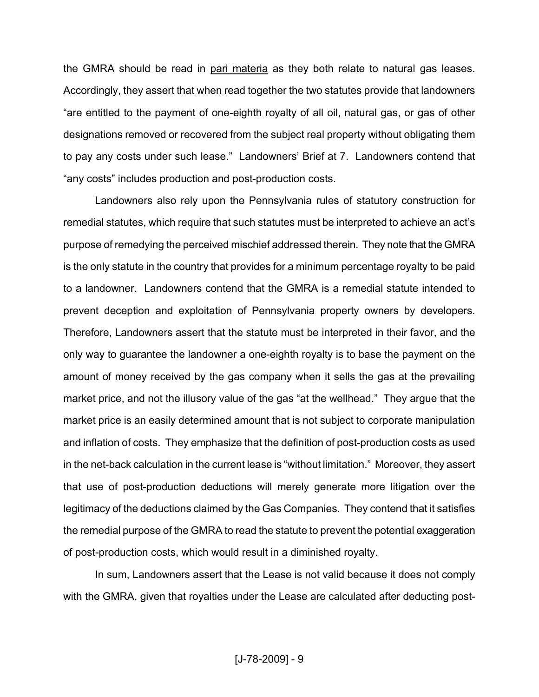the GMRA should be read in pari materia as they both relate to natural gas leases. Accordingly, they assert that when read together the two statutes provide that landowners "are entitled to the payment of one-eighth royalty of all oil, natural gas, or gas of other designations removed or recovered from the subject real property without obligating them to pay any costs under such lease." Landowners' Brief at 7. Landowners contend that "any costs" includes production and post-production costs.

Landowners also rely upon the Pennsylvania rules of statutory construction for remedial statutes, which require that such statutes must be interpreted to achieve an act's purpose of remedying the perceived mischief addressed therein. They note that the GMRA is the only statute in the country that provides for a minimum percentage royalty to be paid to a landowner. Landowners contend that the GMRA is a remedial statute intended to prevent deception and exploitation of Pennsylvania property owners by developers. Therefore, Landowners assert that the statute must be interpreted in their favor, and the only way to guarantee the landowner a one-eighth royalty is to base the payment on the amount of money received by the gas company when it sells the gas at the prevailing market price, and not the illusory value of the gas "at the wellhead." They argue that the market price is an easily determined amount that is not subject to corporate manipulation and inflation of costs. They emphasize that the definition of post-production costs as used in the net-back calculation in the current lease is "without limitation." Moreover, they assert that use of post-production deductions will merely generate more litigation over the legitimacy of the deductions claimed by the Gas Companies. They contend that it satisfies the remedial purpose of the GMRA to read the statute to prevent the potential exaggeration of post-production costs, which would result in a diminished royalty.

In sum, Landowners assert that the Lease is not valid because it does not comply with the GMRA, given that royalties under the Lease are calculated after deducting post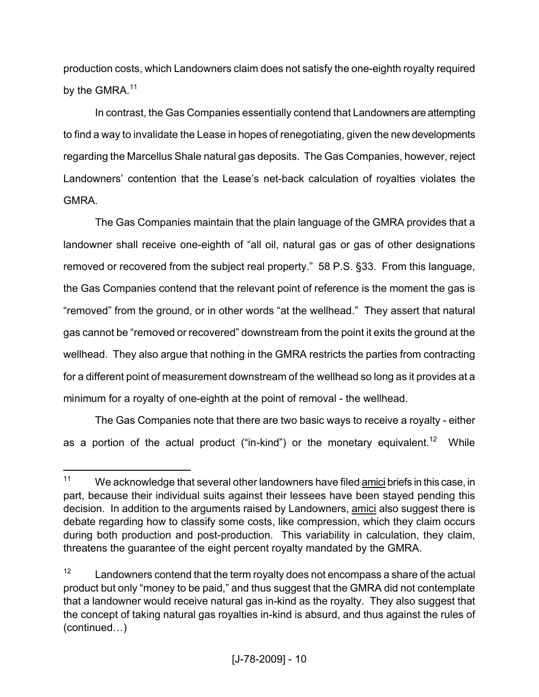production costs, which Landowners claim does not satisfy the one-eighth royalty required by the GMRA.<sup>11</sup>

In contrast, the Gas Companies essentially contend that Landowners are attempting to find a way to invalidate the Lease in hopes of renegotiating, given the new developments regarding the Marcellus Shale natural gas deposits. The Gas Companies, however, reject Landowners' contention that the Lease's net-back calculation of royalties violates the **GMRA** 

The Gas Companies maintain that the plain language of the GMRA provides that a landowner shall receive one-eighth of "all oil, natural gas or gas of other designations removed or recovered from the subject real property." 58 P.S. §33. From this language, the Gas Companies contend that the relevant point of reference is the moment the gas is "removed" from the ground, or in other words "at the wellhead." They assert that natural gas cannot be "removed or recovered" downstream from the point it exits the ground at the wellhead. They also argue that nothing in the GMRA restricts the parties from contracting for a different point of measurement downstream of the wellhead so long as it provides at a minimum for a royalty of one-eighth at the point of removal - the wellhead.

The Gas Companies note that there are two basic ways to receive a royalty - either as a portion of the actual product ("in-kind") or the monetary equivalent.<sup>12</sup> While

<sup>&</sup>lt;sup>11</sup> We acknowledge that several other landowners have filed <u>amici</u> briefs in this case, in part, because their individual suits against their lessees have been stayed pending this decision. In addition to the arguments raised by Landowners, amici also suggest there is debate regarding how to classify some costs, like compression, which they claim occurs during both production and post-production. This variability in calculation, they claim, threatens the guarantee of the eight percent royalty mandated by the GMRA.

 $12$  Landowners contend that the term royalty does not encompass a share of the actual product but only "money to be paid," and thus suggest that the GMRA did not contemplate that a landowner would receive natural gas in-kind as the royalty. They also suggest that the concept of taking natural gas royalties in-kind is absurd, and thus against the rules of (continued…)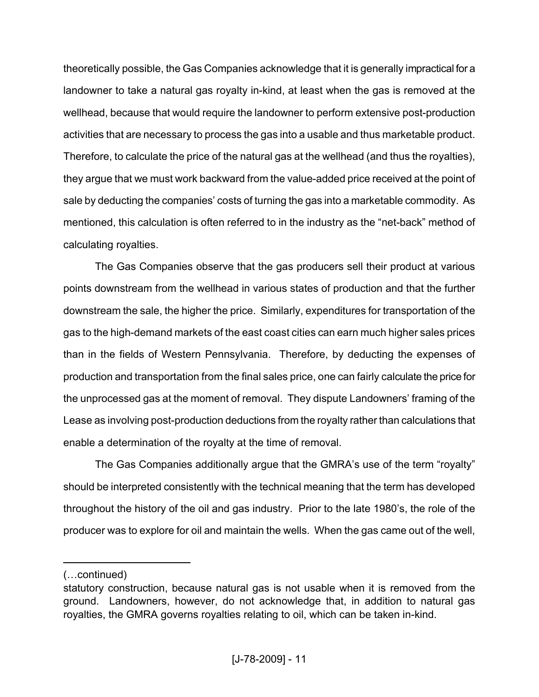theoretically possible, the Gas Companies acknowledge that it is generally impractical for a landowner to take a natural gas royalty in-kind, at least when the gas is removed at the wellhead, because that would require the landowner to perform extensive post-production activities that are necessary to process the gas into a usable and thus marketable product. Therefore, to calculate the price of the natural gas at the wellhead (and thus the royalties), they argue that we must work backward from the value-added price received at the point of sale by deducting the companies' costs of turning the gas into a marketable commodity. As mentioned, this calculation is often referred to in the industry as the "net-back" method of calculating royalties.

The Gas Companies observe that the gas producers sell their product at various points downstream from the wellhead in various states of production and that the further downstream the sale, the higher the price. Similarly, expenditures for transportation of the gas to the high-demand markets of the east coast cities can earn much higher sales prices than in the fields of Western Pennsylvania. Therefore, by deducting the expenses of production and transportation from the final sales price, one can fairly calculate the price for the unprocessed gas at the moment of removal. They dispute Landowners' framing of the Lease as involving post-production deductions from the royalty rather than calculations that enable a determination of the royalty at the time of removal.

The Gas Companies additionally argue that the GMRA's use of the term "royalty" should be interpreted consistently with the technical meaning that the term has developed throughout the history of the oil and gas industry. Prior to the late 1980's, the role of the producer was to explore for oil and maintain the wells. When the gas came out of the well,

<sup>(…</sup>continued)

statutory construction, because natural gas is not usable when it is removed from the ground. Landowners, however, do not acknowledge that, in addition to natural gas royalties, the GMRA governs royalties relating to oil, which can be taken in-kind.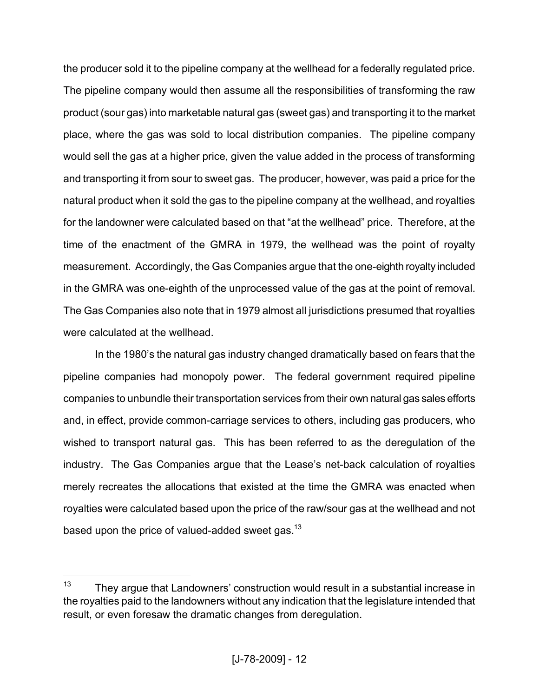the producer sold it to the pipeline company at the wellhead for a federally regulated price. The pipeline company would then assume all the responsibilities of transforming the raw product (sour gas) into marketable natural gas (sweet gas) and transporting it to the market place, where the gas was sold to local distribution companies. The pipeline company would sell the gas at a higher price, given the value added in the process of transforming and transporting it from sour to sweet gas. The producer, however, was paid a price for the natural product when it sold the gas to the pipeline company at the wellhead, and royalties for the landowner were calculated based on that "at the wellhead" price. Therefore, at the time of the enactment of the GMRA in 1979, the wellhead was the point of royalty measurement. Accordingly, the Gas Companies argue that the one-eighth royalty included in the GMRA was one-eighth of the unprocessed value of the gas at the point of removal. The Gas Companies also note that in 1979 almost all jurisdictions presumed that royalties were calculated at the wellhead.

In the 1980's the natural gas industry changed dramatically based on fears that the pipeline companies had monopoly power. The federal government required pipeline companies to unbundle their transportation services from their own natural gas sales efforts and, in effect, provide common-carriage services to others, including gas producers, who wished to transport natural gas. This has been referred to as the deregulation of the industry. The Gas Companies argue that the Lease's net-back calculation of royalties merely recreates the allocations that existed at the time the GMRA was enacted when royalties were calculated based upon the price of the raw/sour gas at the wellhead and not based upon the price of valued-added sweet gas.<sup>13</sup>

 $13$  They argue that Landowners' construction would result in a substantial increase in the royalties paid to the landowners without any indication that the legislature intended that result, or even foresaw the dramatic changes from deregulation.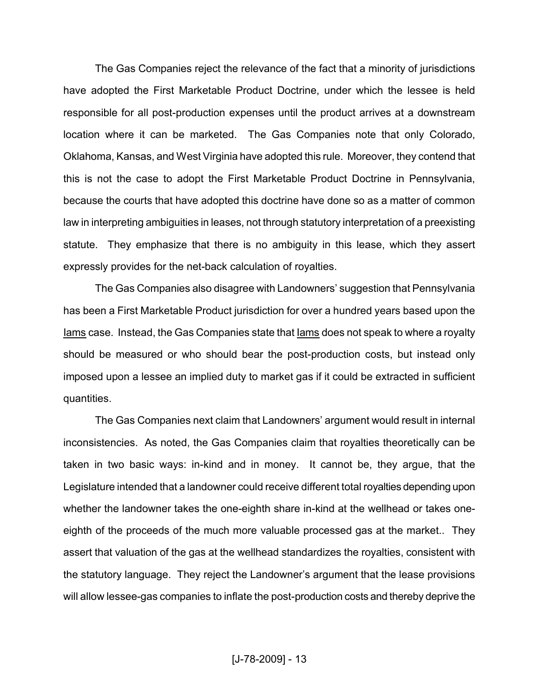The Gas Companies reject the relevance of the fact that a minority of jurisdictions have adopted the First Marketable Product Doctrine, under which the lessee is held responsible for all post-production expenses until the product arrives at a downstream location where it can be marketed. The Gas Companies note that only Colorado, Oklahoma, Kansas, and West Virginia have adopted this rule. Moreover, they contend that this is not the case to adopt the First Marketable Product Doctrine in Pennsylvania, because the courts that have adopted this doctrine have done so as a matter of common law in interpreting ambiguities in leases, not through statutory interpretation of a preexisting statute. They emphasize that there is no ambiguity in this lease, which they assert expressly provides for the net-back calculation of royalties.

The Gas Companies also disagree with Landowners' suggestion that Pennsylvania has been a First Marketable Product jurisdiction for over a hundred years based upon the Iams case. Instead, the Gas Companies state that Iams does not speak to where a royalty should be measured or who should bear the post-production costs, but instead only imposed upon a lessee an implied duty to market gas if it could be extracted in sufficient quantities.

The Gas Companies next claim that Landowners' argument would result in internal inconsistencies. As noted, the Gas Companies claim that royalties theoretically can be taken in two basic ways: in-kind and in money. It cannot be, they argue, that the Legislature intended that a landowner could receive different total royalties depending upon whether the landowner takes the one-eighth share in-kind at the wellhead or takes oneeighth of the proceeds of the much more valuable processed gas at the market.. They assert that valuation of the gas at the wellhead standardizes the royalties, consistent with the statutory language. They reject the Landowner's argument that the lease provisions will allow lessee-gas companies to inflate the post-production costs and thereby deprive the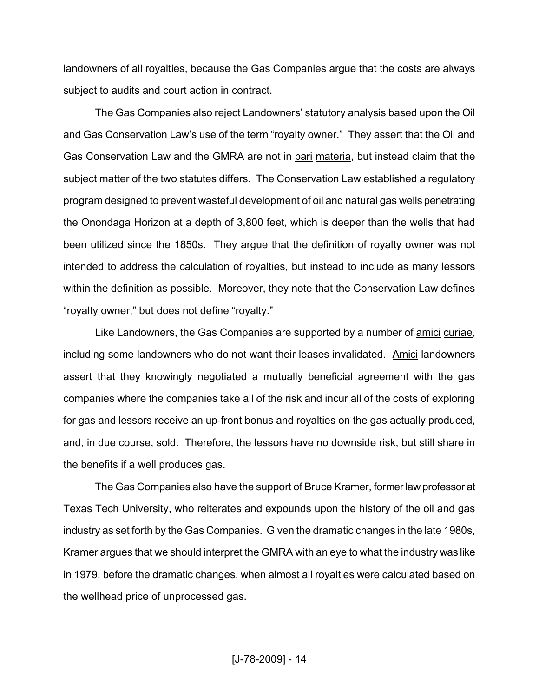landowners of all royalties, because the Gas Companies argue that the costs are always subject to audits and court action in contract.

The Gas Companies also reject Landowners' statutory analysis based upon the Oil and Gas Conservation Law's use of the term "royalty owner." They assert that the Oil and Gas Conservation Law and the GMRA are not in pari materia, but instead claim that the subject matter of the two statutes differs. The Conservation Law established a regulatory program designed to prevent wasteful development of oil and natural gas wells penetrating the Onondaga Horizon at a depth of 3,800 feet, which is deeper than the wells that had been utilized since the 1850s. They argue that the definition of royalty owner was not intended to address the calculation of royalties, but instead to include as many lessors within the definition as possible. Moreover, they note that the Conservation Law defines "royalty owner," but does not define "royalty."

Like Landowners, the Gas Companies are supported by a number of amici curiae, including some landowners who do not want their leases invalidated. Amici landowners assert that they knowingly negotiated a mutually beneficial agreement with the gas companies where the companies take all of the risk and incur all of the costs of exploring for gas and lessors receive an up-front bonus and royalties on the gas actually produced, and, in due course, sold. Therefore, the lessors have no downside risk, but still share in the benefits if a well produces gas.

The Gas Companies also have the support of Bruce Kramer, former law professor at Texas Tech University, who reiterates and expounds upon the history of the oil and gas industry as set forth by the Gas Companies. Given the dramatic changes in the late 1980s, Kramer argues that we should interpret the GMRA with an eye to what the industry was like in 1979, before the dramatic changes, when almost all royalties were calculated based on the wellhead price of unprocessed gas.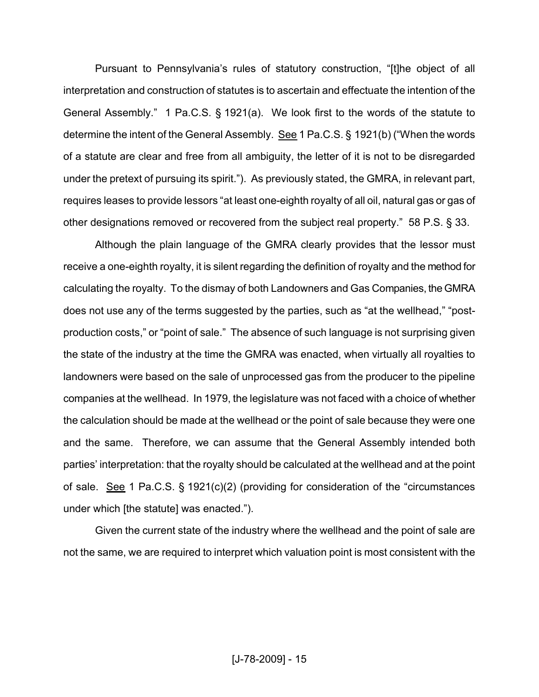Pursuant to Pennsylvania's rules of statutory construction, "[t]he object of all interpretation and construction of statutes is to ascertain and effectuate the intention of the General Assembly." 1 Pa.C.S. § 1921(a). We look first to the words of the statute to determine the intent of the General Assembly. See 1 Pa.C.S. § 1921(b) ("When the words of a statute are clear and free from all ambiguity, the letter of it is not to be disregarded under the pretext of pursuing its spirit."). As previously stated, the GMRA, in relevant part, requires leases to provide lessors "at least one-eighth royalty of all oil, natural gas or gas of other designations removed or recovered from the subject real property." 58 P.S. § 33.

Although the plain language of the GMRA clearly provides that the lessor must receive a one-eighth royalty, it is silent regarding the definition of royalty and the method for calculating the royalty. To the dismay of both Landowners and Gas Companies, the GMRA does not use any of the terms suggested by the parties, such as "at the wellhead," "postproduction costs," or "point of sale." The absence of such language is not surprising given the state of the industry at the time the GMRA was enacted, when virtually all royalties to landowners were based on the sale of unprocessed gas from the producer to the pipeline companies at the wellhead. In 1979, the legislature was not faced with a choice of whether the calculation should be made at the wellhead or the point of sale because they were one and the same. Therefore, we can assume that the General Assembly intended both parties' interpretation: that the royalty should be calculated at the wellhead and at the point of sale. See 1 Pa.C.S. § 1921(c)(2) (providing for consideration of the "circumstances under which [the statute] was enacted.").

Given the current state of the industry where the wellhead and the point of sale are not the same, we are required to interpret which valuation point is most consistent with the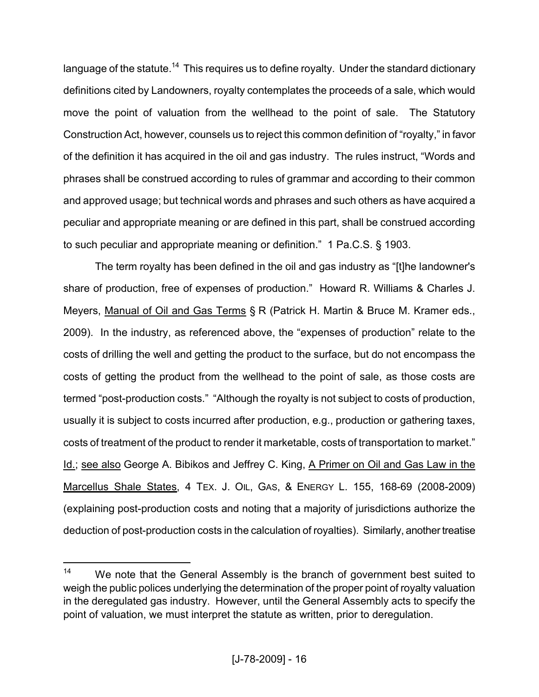language of the statute.<sup>14</sup> This requires us to define royalty. Under the standard dictionary definitions cited by Landowners, royalty contemplates the proceeds of a sale, which would move the point of valuation from the wellhead to the point of sale. The Statutory Construction Act, however, counsels us to reject this common definition of "royalty," in favor of the definition it has acquired in the oil and gas industry. The rules instruct, "Words and phrases shall be construed according to rules of grammar and according to their common and approved usage; but technical words and phrases and such others as have acquired a peculiar and appropriate meaning or are defined in this part, shall be construed according to such peculiar and appropriate meaning or definition." 1 Pa.C.S. § 1903.

The term royalty has been defined in the oil and gas industry as "[t]he landowner's share of production, free of expenses of production." Howard R. Williams & Charles J. Meyers, Manual of Oil and Gas Terms § R (Patrick H. Martin & Bruce M. Kramer eds., 2009). In the industry, as referenced above, the "expenses of production" relate to the costs of drilling the well and getting the product to the surface, but do not encompass the costs of getting the product from the wellhead to the point of sale, as those costs are termed "post-production costs." "Although the royalty is not subject to costs of production, usually it is subject to costs incurred after production, e.g., production or gathering taxes, costs of treatment of the product to render it marketable, costs of transportation to market." Id.; see also George A. Bibikos and Jeffrey C. King, A Primer on Oil and Gas Law in the Marcellus Shale States, 4 TEX. J. OIL, GAS, & ENERGY L. 155, 168-69 (2008-2009) (explaining post-production costs and noting that a majority of jurisdictions authorize the deduction of post-production costs in the calculation of royalties). Similarly, another treatise

<sup>&</sup>lt;sup>14</sup> We note that the General Assembly is the branch of government best suited to weigh the public polices underlying the determination of the proper point of royalty valuation in the deregulated gas industry. However, until the General Assembly acts to specify the point of valuation, we must interpret the statute as written, prior to deregulation.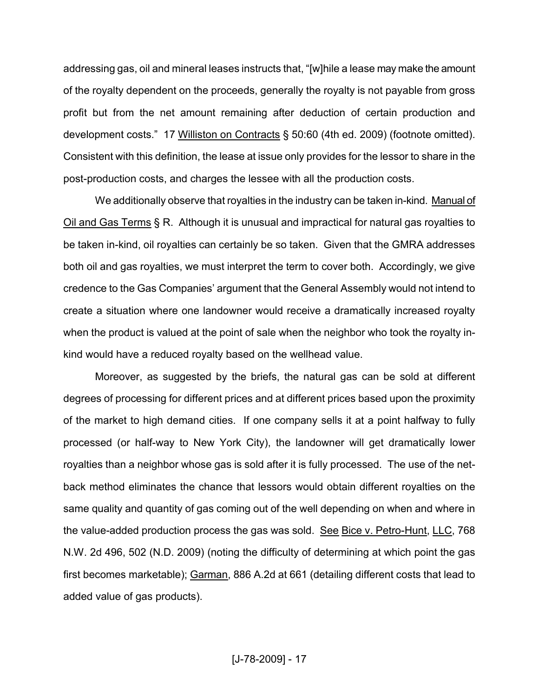addressing gas, oil and mineral leases instructs that, "[w]hile a lease may make the amount of the royalty dependent on the proceeds, generally the royalty is not payable from gross profit but from the net amount remaining after deduction of certain production and development costs." 17 Williston on Contracts § 50:60 (4th ed. 2009) (footnote omitted). Consistent with this definition, the lease at issue only provides for the lessor to share in the post-production costs, and charges the lessee with all the production costs.

We additionally observe that royalties in the industry can be taken in-kind. Manual of Oil and Gas Terms § R. Although it is unusual and impractical for natural gas royalties to be taken in-kind, oil royalties can certainly be so taken. Given that the GMRA addresses both oil and gas royalties, we must interpret the term to cover both. Accordingly, we give credence to the Gas Companies' argument that the General Assembly would not intend to create a situation where one landowner would receive a dramatically increased royalty when the product is valued at the point of sale when the neighbor who took the royalty inkind would have a reduced royalty based on the wellhead value.

Moreover, as suggested by the briefs, the natural gas can be sold at different degrees of processing for different prices and at different prices based upon the proximity of the market to high demand cities. If one company sells it at a point halfway to fully processed (or half-way to New York City), the landowner will get dramatically lower royalties than a neighbor whose gas is sold after it is fully processed. The use of the netback method eliminates the chance that lessors would obtain different royalties on the same quality and quantity of gas coming out of the well depending on when and where in the value-added production process the gas was sold. See Bice v. Petro-Hunt, LLC, 768 N.W. 2d 496, 502 (N.D. 2009) (noting the difficulty of determining at which point the gas first becomes marketable); Garman, 886 A.2d at 661 (detailing different costs that lead to added value of gas products).